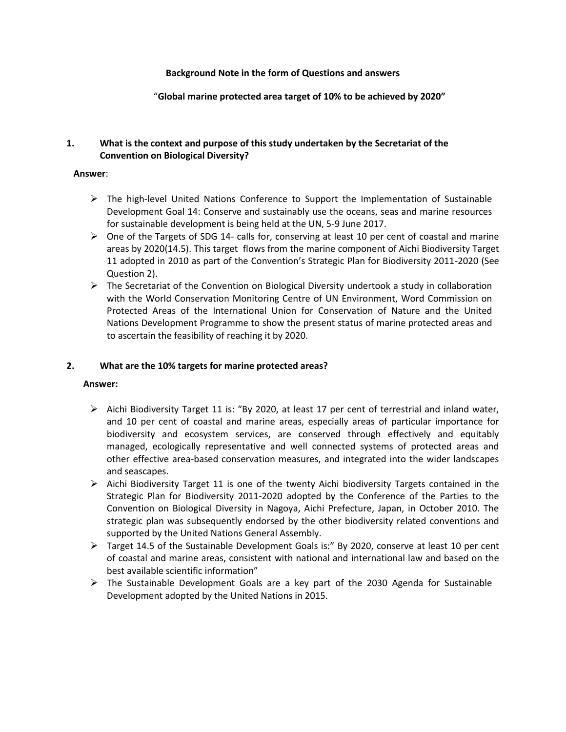### **Background Note in the form of Questions and answers**

"**Global marine protected area target of 10% to be achieved by 2020"**

### **1. What is the context and purpose of this study undertaken by the Secretariat of the Convention on Biological Diversity?**

### **Answer**:

- $\triangleright$  The high-level United Nations Conference to Support the Implementation of Sustainable Development Goal 14: Conserve and sustainably use the oceans, seas and marine resources for sustainable development is being held at the UN, 5-9 June 2017.
- $\triangleright$  One of the Targets of SDG 14- calls for, conserving at least 10 per cent of coastal and marine areas by 2020(14.5). This target flows from the marine component of Aichi Biodiversity Target 11 adopted in 2010 as part of the Convention's Strategic Plan for Biodiversity 2011-2020 (See Question 2).
- $\triangleright$  The Secretariat of the Convention on Biological Diversity undertook a study in collaboration with the World Conservation Monitoring Centre of UN Environment, Word Commission on Protected Areas of the International Union for Conservation of Nature and the United Nations Development Programme to show the present status of marine protected areas and to ascertain the feasibility of reaching it by 2020.

# **2. What are the 10% targets for marine protected areas?**

- $\triangleright$  Aichi Biodiversity Target 11 is: "By 2020, at least 17 per cent of terrestrial and inland water, and 10 per cent of coastal and marine areas, especially areas of particular importance for biodiversity and ecosystem services, are conserved through effectively and equitably managed, ecologically representative and well connected systems of protected areas and other effective area-based conservation measures, and integrated into the wider landscapes and seascapes.
- $\triangleright$  Aichi Biodiversity Target 11 is one of the twenty Aichi biodiversity Targets contained in the Strategic Plan for Biodiversity 2011-2020 adopted by the Conference of the Parties to the Convention on Biological Diversity in Nagoya, Aichi Prefecture, Japan, in October 2010. The strategic plan was subsequently endorsed by the other biodiversity related conventions and supported by the United Nations General Assembly.
- $\triangleright$  Target 14.5 of the Sustainable Development Goals is:" By 2020, conserve at least 10 per cent of coastal and marine areas, consistent with national and international law and based on the best available scientific information"
- $\triangleright$  The Sustainable Development Goals are a key part of the 2030 Agenda for Sustainable Development adopted by the United Nations in 2015.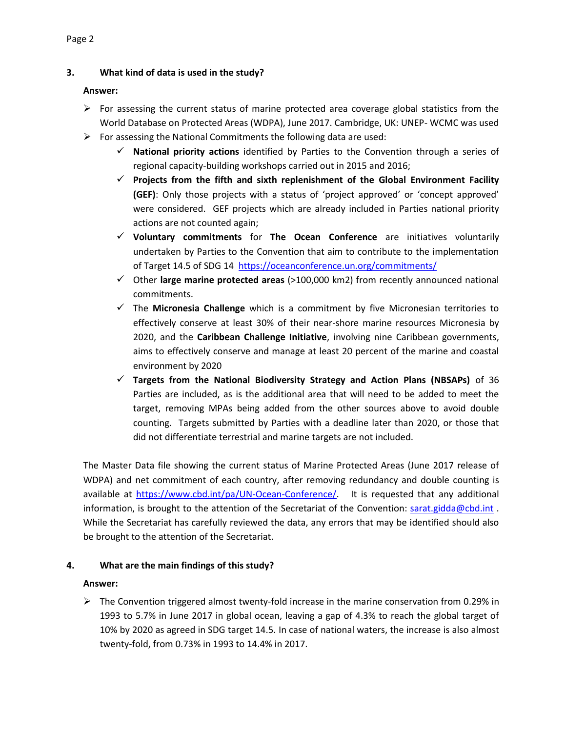# **3. What kind of data is used in the study?**

### **Answer:**

- $\triangleright$  For assessing the current status of marine protected area coverage global statistics from the World Database on Protected Areas (WDPA), June 2017. Cambridge, UK: UNEP- WCMC was used
- $\triangleright$  For assessing the National Commitments the following data are used:
	- **National priority actions** identified by Parties to the Convention through a series of regional capacity-building workshops carried out in 2015 and 2016;
	- **Projects from the fifth and sixth replenishment of the Global Environment Facility (GEF)**: Only those projects with a status of 'project approved' or 'concept approved' were considered. GEF projects which are already included in Parties national priority actions are not counted again;
	- **Voluntary commitments** for **The Ocean Conference** are initiatives voluntarily undertaken by Parties to the Convention that aim to contribute to the implementation of Target 14.5 of SDG 14 <https://oceanconference.un.org/commitments/>
	- Other **large marine protected areas** (>100,000 km2) from recently announced national commitments.
	- The **Micronesia Challenge** which is a commitment by five Micronesian territories to effectively conserve at least 30% of their near-shore marine resources Micronesia by 2020, and the **Caribbean Challenge Initiative**, involving nine Caribbean governments, aims to effectively conserve and manage at least 20 percent of the marine and coastal environment by 2020
	- **Targets from the National Biodiversity Strategy and Action Plans (NBSAPs)** of 36 Parties are included, as is the additional area that will need to be added to meet the target, removing MPAs being added from the other sources above to avoid double counting. Targets submitted by Parties with a deadline later than 2020, or those that did not differentiate terrestrial and marine targets are not included.

The Master Data file showing the current status of Marine Protected Areas (June 2017 release of WDPA) and net commitment of each country, after removing redundancy and double counting is available at [https://www.cbd.int/pa/UN-Ocean-Conference/.](https://www.cbd.int/pa/UN-Ocean-Conference/) It is requested that any additional information, is brought to the attention of the Secretariat of the Convention: [sarat.gidda@cbd.int](mailto:sarat.gidda@cbd.int). While the Secretariat has carefully reviewed the data, any errors that may be identified should also be brought to the attention of the Secretariat.

# **4. What are the main findings of this study?**

### **Answer:**

 $\triangleright$  The Convention triggered almost twenty-fold increase in the marine conservation from 0.29% in 1993 to 5.7% in June 2017 in global ocean, leaving a gap of 4.3% to reach the global target of 10% by 2020 as agreed in SDG target 14.5. In case of national waters, the increase is also almost twenty-fold, from 0.73% in 1993 to 14.4% in 2017.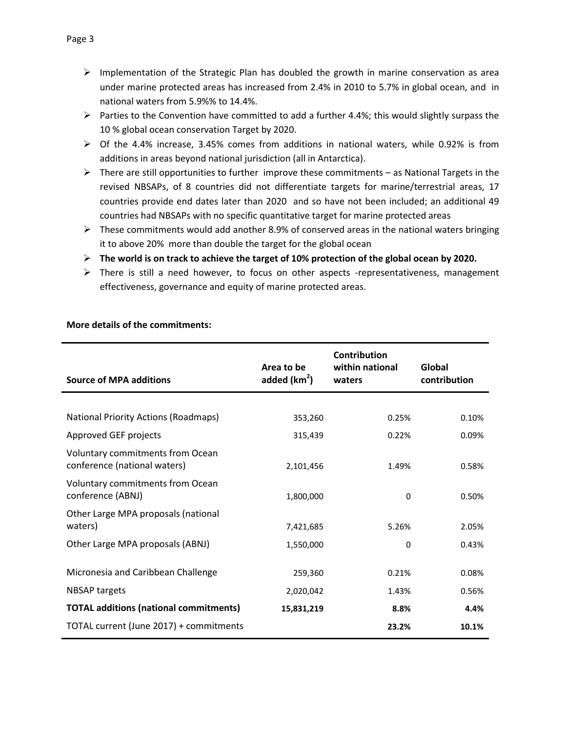- $\triangleright$  Implementation of the Strategic Plan has doubled the growth in marine conservation as area under marine protected areas has increased from 2.4% in 2010 to 5.7% in global ocean, and in national waters from 5.9%% to 14.4%.
- $\triangleright$  Parties to the Convention have committed to add a further 4.4%; this would slightly surpass the 10 % global ocean conservation Target by 2020.
- $\triangleright$  Of the 4.4% increase, 3.45% comes from additions in national waters, while 0.92% is from additions in areas beyond national jurisdiction (all in Antarctica).
- $\triangleright$  There are still opportunities to further improve these commitments as National Targets in the revised NBSAPs, of 8 countries did not differentiate targets for marine/terrestrial areas, 17 countries provide end dates later than 2020 and so have not been included; an additional 49 countries had NBSAPs with no specific quantitative target for marine protected areas
- $\triangleright$  These commitments would add another 8.9% of conserved areas in the national waters bringing it to above 20% more than double the target for the global ocean
- **The world is on track to achieve the target of 10% protection of the global ocean by 2020.**
- $\triangleright$  There is still a need however, to focus on other aspects -representativeness, management effectiveness, governance and equity of marine protected areas.

| <b>Source of MPA additions</b>                                   | Area to be<br>added $(km2)$ | Contribution<br>within national<br>waters | Global<br>contribution |
|------------------------------------------------------------------|-----------------------------|-------------------------------------------|------------------------|
|                                                                  |                             |                                           |                        |
| <b>National Priority Actions (Roadmaps)</b>                      | 353,260                     | 0.25%                                     | 0.10%                  |
| Approved GEF projects                                            | 315,439                     | 0.22%                                     | 0.09%                  |
| Voluntary commitments from Ocean<br>conference (national waters) | 2,101,456                   | 1.49%                                     | 0.58%                  |
| Voluntary commitments from Ocean<br>conference (ABNJ)            | 1,800,000                   | 0                                         | 0.50%                  |
| Other Large MPA proposals (national                              |                             |                                           |                        |
| waters)                                                          | 7,421,685                   | 5.26%                                     | 2.05%                  |
| Other Large MPA proposals (ABNJ)                                 | 1,550,000                   | 0                                         | 0.43%                  |
| Micronesia and Caribbean Challenge                               | 259,360                     | 0.21%                                     | 0.08%                  |
| <b>NBSAP targets</b>                                             | 2,020,042                   | 1.43%                                     | 0.56%                  |
| <b>TOTAL additions (national commitments)</b>                    | 15,831,219                  | 8.8%                                      | 4.4%                   |
| TOTAL current (June 2017) + commitments                          |                             | 23.2%                                     | 10.1%                  |

### **More details of the commitments:**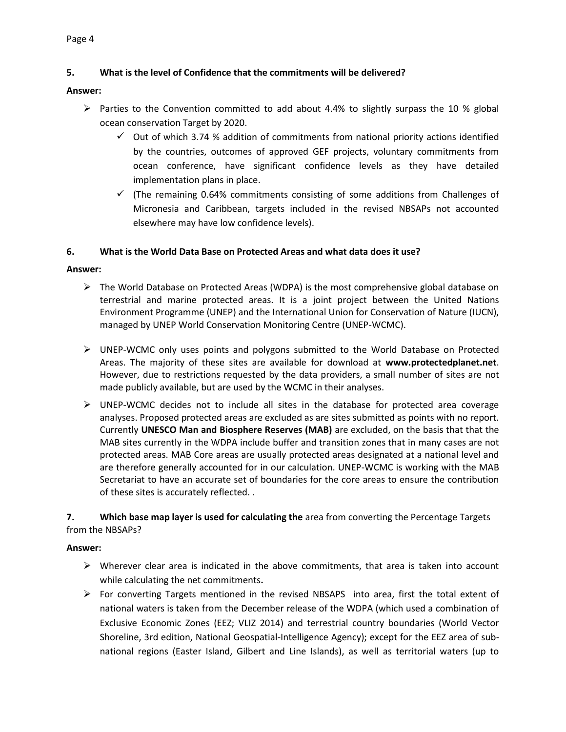# **5. What is the level of Confidence that the commitments will be delivered?**

### **Answer:**

- $\triangleright$  Parties to the Convention committed to add about 4.4% to slightly surpass the 10 % global ocean conservation Target by 2020.
	- $\checkmark$  Out of which 3.74 % addition of commitments from national priority actions identified by the countries, outcomes of approved GEF projects, voluntary commitments from ocean conference, have significant confidence levels as they have detailed implementation plans in place.
	- $\checkmark$  (The remaining 0.64% commitments consisting of some additions from Challenges of Micronesia and Caribbean, targets included in the revised NBSAPs not accounted elsewhere may have low confidence levels).

### **6. What is the World Data Base on Protected Areas and what data does it use?**

### **Answer:**

- $\triangleright$  The World Database on Protected Areas (WDPA) is the most comprehensive global database on terrestrial and marine protected areas. It is a joint project between the United Nations Environment Programme (UNEP) and the International Union for Conservation of Nature (IUCN), managed by UNEP World Conservation Monitoring Centre (UNEP-WCMC).
- UNEP-WCMC only uses points and polygons submitted to the World Database on Protected Areas. The majority of these sites are available for download at **[www.protectedplanet.net](http://www.protectedplanet.net/)**. However, due to restrictions requested by the data providers, a small number of sites are not made publicly available, but are used by the WCMC in their analyses.
- $\triangleright$  UNEP-WCMC decides not to include all sites in the database for protected area coverage analyses. Proposed protected areas are excluded as are sites submitted as points with no report. Currently **UNESCO Man and [Biosphere](https://protectedplanet.net/c/world-database-on-protected-areas/internationally-designated-protected-areas/man-and-the-biosphere-reserves) Reserves (MAB)** are excluded, on the basis that that the MAB sites currently in the WDPA include buffer and transition zones that in many cases are not protected areas. MAB Core areas are usually protected areas designated at a national level and are therefore generally accounted for in our calculation. UNEP-WCMC is working with the MAB Secretariat to have an accurate set of boundaries for the core areas to ensure the contribution of these sites is accurately reflected. .

# **7. Which base map layer is used for calculating the** area from converting the Percentage Targets from the NBSAPs?

- $\triangleright$  Wherever clear area is indicated in the above commitments, that area is taken into account while calculating the net commitments**.**
- $\triangleright$  For converting Targets mentioned in the revised NBSAPS into area, first the total extent of national waters is taken from the December release of the WDPA (which used a combination of Exclusive Economic Zones (EEZ; VLIZ 2014) and terrestrial country boundaries (World Vector Shoreline, 3rd edition, National Geospatial-Intelligence Agency); except for the EEZ area of subnational regions (Easter Island, Gilbert and Line Islands), as well as territorial waters (up to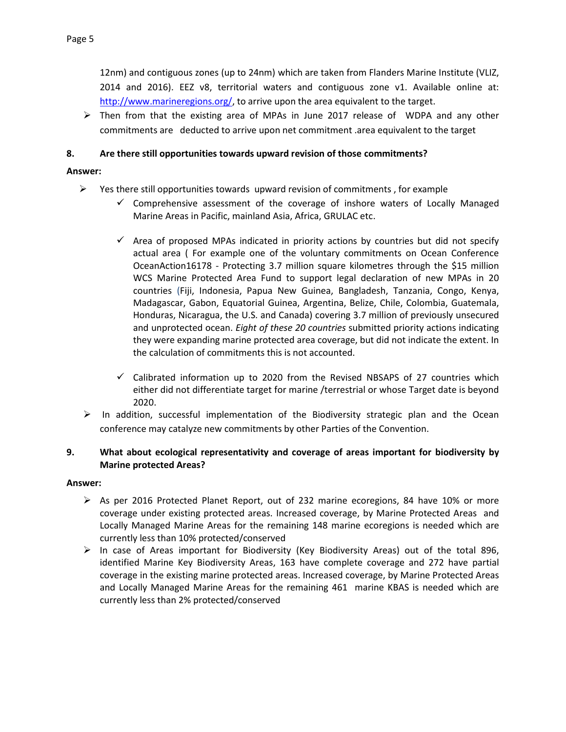12nm) and contiguous zones (up to 24nm) which are taken from Flanders Marine Institute (VLIZ, 2014 and 2016). EEZ v8, territorial waters and contiguous zone v1. Available online at: [http://www.marineregions.org/,](http://www.marineregions.org/) to arrive upon the area equivalent to the target.

 $\triangleright$  Then from that the existing area of MPAs in June 2017 release of WDPA and any other commitments are deducted to arrive upon net commitment .area equivalent to the target

### **8. Are there still opportunities towards upward revision of those commitments?**

### **Answer:**

- $\triangleright$  Yes there still opportunities towards upward revision of commitments, for example
	- $\checkmark$  Comprehensive assessment of the coverage of inshore waters of Locally Managed Marine Areas in Pacific, mainland Asia, Africa, GRULAC etc.
	- $\checkmark$  Area of proposed MPAs indicated in priority actions by countries but did not specify actual area ( For example one of the voluntary commitments on Ocean Conference OceanAction16178 - Protecting 3.7 million square kilometres through the \$15 million WCS Marine Protected Area Fund to support legal declaration of new MPAs in 20 countries (Fiji, Indonesia, Papua New Guinea, Bangladesh, Tanzania, Congo, Kenya, Madagascar, Gabon, Equatorial Guinea, Argentina, Belize, Chile, Colombia, Guatemala, Honduras, Nicaragua, the U.S. and Canada) covering 3.7 million of previously unsecured and unprotected ocean. *Eight of these 20 countries* submitted priority actions indicating they were expanding marine protected area coverage, but did not indicate the extent. In the calculation of commitments this is not accounted.
	- $\checkmark$  Calibrated information up to 2020 from the Revised NBSAPS of 27 countries which either did not differentiate target for marine /terrestrial or whose Target date is beyond 2020.
- $\triangleright$  In addition, successful implementation of the Biodiversity strategic plan and the Ocean conference may catalyze new commitments by other Parties of the Convention.

### **9. What about ecological representativity and coverage of areas important for biodiversity by Marine protected Areas?**

- $\triangleright$  As per 2016 Protected Planet Report, out of 232 marine ecoregions, 84 have 10% or more coverage under existing protected areas. Increased coverage, by Marine Protected Areas and Locally Managed Marine Areas for the remaining 148 marine ecoregions is needed which are currently less than 10% protected/conserved
- $\triangleright$  In case of Areas important for Biodiversity (Key Biodiversity Areas) out of the total 896, identified Marine Key Biodiversity Areas, 163 have complete coverage and 272 have partial coverage in the existing marine protected areas. Increased coverage, by Marine Protected Areas and Locally Managed Marine Areas for the remaining 461 marine KBAS is needed which are currently less than 2% protected/conserved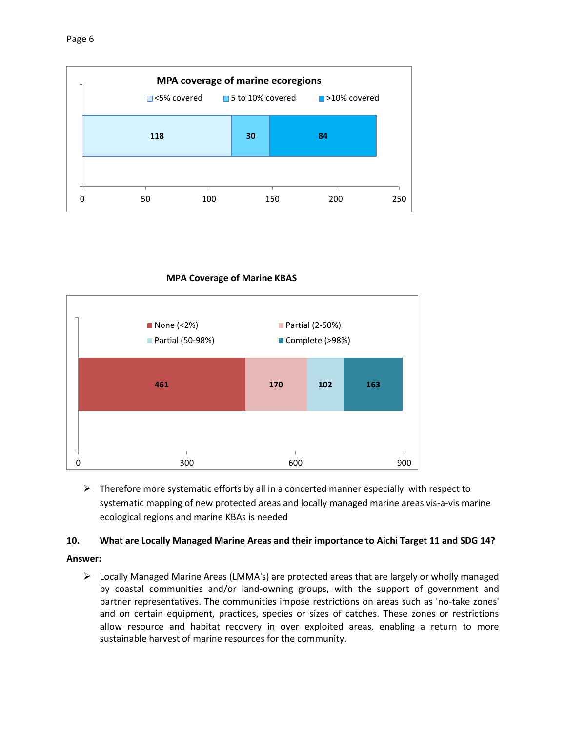



### **MPA Coverage of Marine KBAS**

 $\triangleright$  Therefore more systematic efforts by all in a concerted manner especially with respect to systematic mapping of new protected areas and locally managed marine areas vis-a-vis marine ecological regions and marine KBAs is needed

# **10. What are Locally Managed Marine Areas and their importance to Aichi Target 11 and SDG 14?**

# **Answer:**

 $\triangleright$  Locally Managed Marine Areas (LMMA's) are protected areas that are largely or wholly managed by coastal communities and/or land-owning groups, with the support of government and partner representatives. The communities impose restrictions on areas such as 'no-take zones' and on certain equipment, practices, species or sizes of catches. These zones or restrictions allow resource and habitat recovery in over exploited areas, enabling a return to more sustainable harvest of marine resources for the community.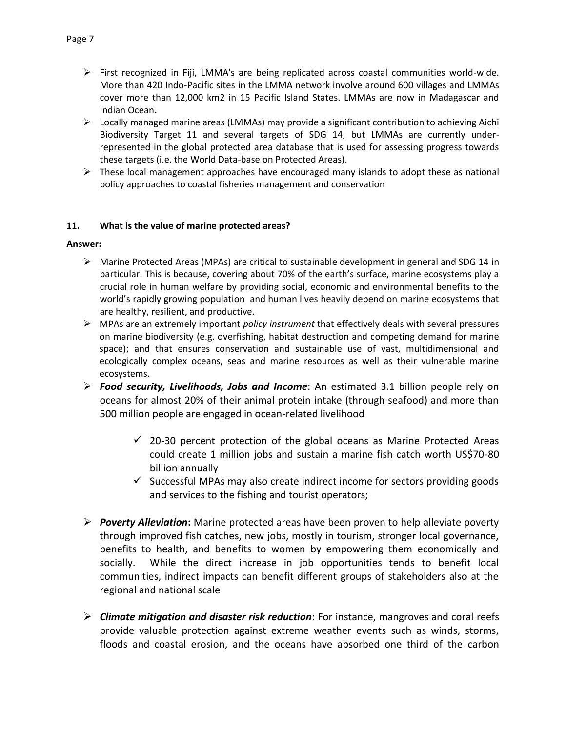- $\triangleright$  First recognized in Fiji, LMMA's are being replicated across coastal communities world-wide. More than 420 Indo-Pacific sites in the LMMA network involve around 600 villages and LMMAs cover more than 12,000 km2 in 15 Pacific Island States. LMMAs are now in Madagascar and Indian Ocean**.**
- $\triangleright$  Locally managed marine areas (LMMAs) may provide a significant contribution to achieving Aichi Biodiversity Target 11 and several targets of SDG 14, but LMMAs are currently underrepresented in the global protected area database that is used for assessing progress towards these targets (i.e. the World Data-base on Protected Areas).
- $\triangleright$  These local management approaches have encouraged many islands to adopt these as national policy approaches to coastal fisheries management and conservation

### **11. What is the value of marine protected areas?**

- $\triangleright$  Marine Protected Areas (MPAs) are critical to sustainable development in general and SDG 14 in particular. This is because, covering about 70% of the earth's surface, marine ecosystems play a crucial role in human welfare by providing social, economic and environmental benefits to the world's rapidly growing population and human lives heavily depend on marine ecosystems that are healthy, resilient, and productive.
- MPAs are an extremely important *policy instrument* that effectively deals with several pressures on marine biodiversity (e.g. overfishing, habitat destruction and competing demand for marine space); and that ensures conservation and sustainable use of vast, multidimensional and ecologically complex oceans, seas and marine resources as well as their vulnerable marine ecosystems.
- *Food security, Livelihoods, Jobs and Income*: An estimated 3.1 billion people rely on oceans for almost 20% of their animal protein intake (through seafood) and more than 500 million people are engaged in ocean-related livelihood
	- $\checkmark$  20-30 percent protection of the global oceans as Marine Protected Areas could create 1 million jobs and sustain a marine fish catch worth US\$70-80 billion annually
	- $\checkmark$  Successful MPAs may also create indirect income for sectors providing goods and services to the fishing and tourist operators;
- *Poverty Alleviation***:** Marine protected areas have been proven to help alleviate poverty through improved fish catches, new jobs, mostly in tourism, stronger local governance, benefits to health, and benefits to women by empowering them economically and socially. While the direct increase in job opportunities tends to benefit local communities, indirect impacts can benefit different groups of stakeholders also at the regional and national scale
- *Climate mitigation and disaster risk reduction*: For instance, mangroves and coral reefs provide valuable protection against extreme weather events such as winds, storms, floods and coastal erosion, and the oceans have absorbed one third of the carbon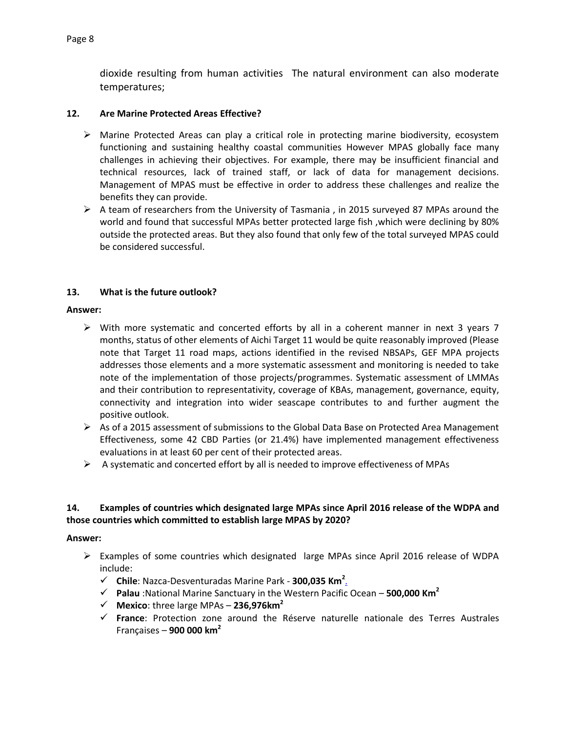dioxide resulting from human activities The natural environment can also moderate temperatures;

### **12. Are Marine Protected Areas Effective?**

- $\triangleright$  Marine Protected Areas can play a critical role in protecting marine biodiversity, ecosystem functioning and sustaining healthy coastal communities However MPAS globally face many challenges in achieving their objectives. For example, there may be insufficient financial and technical resources, lack of trained staff, or lack of data for management decisions. Management of MPAS must be effective in order to address these challenges and realize the benefits they can provide.
- $\triangleright$  A team of researchers from the University of Tasmania, in 2015 surveyed 87 MPAs around the world and found that successful MPAs better protected large fish ,which were declining by 80% outside the protected areas. But they also found that only few of the total surveyed MPAS could be considered successful.

### **13. What is the future outlook?**

### **Answer:**

- $\triangleright$  With more systematic and concerted efforts by all in a coherent manner in next 3 years 7 months, status of other elements of Aichi Target 11 would be quite reasonably improved (Please note that Target 11 road maps, actions identified in the revised NBSAPs, GEF MPA projects addresses those elements and a more systematic assessment and monitoring is needed to take note of the implementation of those projects/programmes. Systematic assessment of LMMAs and their contribution to representativity, coverage of KBAs, management, governance, equity, connectivity and integration into wider seascape contributes to and further augment the positive outlook.
- $\triangleright$  As of a 2015 assessment of submissions to the Global Data Base on Protected Area Management Effectiveness, some 42 CBD Parties (or 21.4%) have implemented management effectiveness evaluations in at least 60 per cent of their protected areas.
- $\triangleright$  A systematic and concerted effort by all is needed to improve effectiveness of MPAs

# **14. Examples of countries which designated large MPAs since April 2016 release of the WDPA and those countries which committed to establish large MPAS by 2020?**

- $\triangleright$  Examples of some countries which designated large MPAs since April 2016 release of WDPA include:
	- **Chile**: Nazca-Desventuradas Marine Park **300,035 Km<sup>2</sup>** .
	- **Palau** :National Marine Sanctuary in the Western Pacific Ocean **500,000 Km<sup>2</sup>**
	- $\checkmark$  Mexico: three large MPAs 236,976km<sup>2</sup>
	- **France**: Protection zone around the Réserve naturelle nationale des Terres Australes Françaises – **900 000 km<sup>2</sup>**